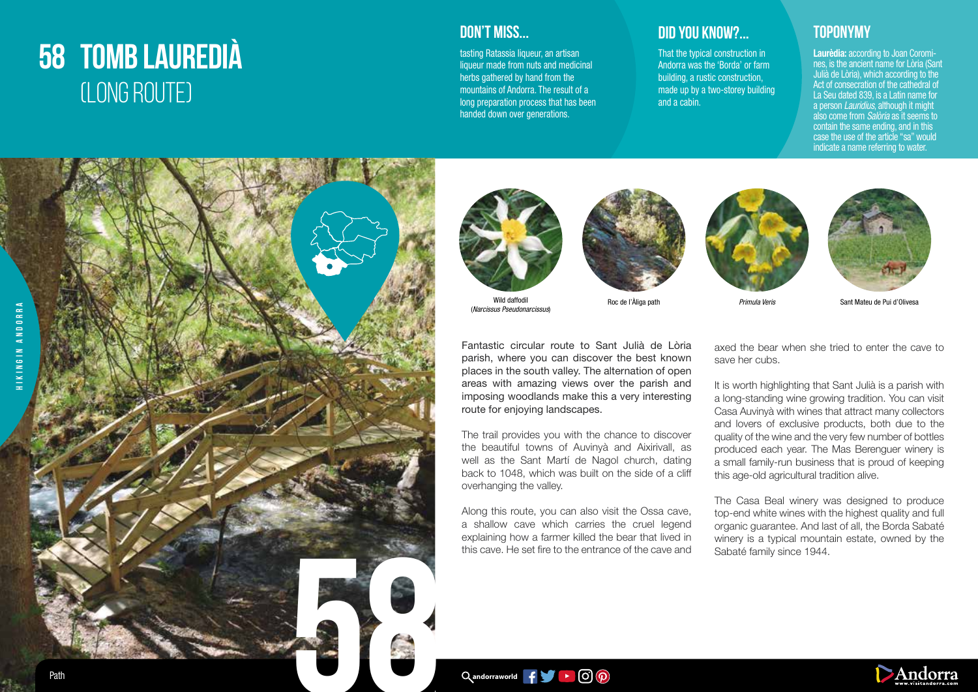## **58 TOMB LAUREDIÀ** (LONG ROUTE)



tasting Ratassia liqueur, an artisan liqueur made from nuts and medicinal herbs gathered by hand from the mountains of Andorra. The result of a long preparation process that has been handed down over generations.

## **DON'T MISS... DID YOU KNOW?... TOPONYMY**

That the typical construction in Andorra was the 'Borda' or farm building, a rustic construction, made up by a two-storey building and a cabin.

Laurèdia: according to Joan Coromines, is the ancient name for Lòria (Sant Julià de Lòria), which according to the Act of consecration of the cathedral of La Seu dated 839, is a Latin name for a person *Lauridius*, although it might also come from *Salòria* as it seems to contain the same ending, and in this case the use of the article "sa" would indicate a name referring to water.





Wild daffodil Roc de l'Àliga path *Primula Veris* Sant Mateu de Pui d'Olivesa (*Narcissus Pseudonarcissus*)







Fantastic circular route to Sant Julià de Lòria parish, where you can discover the best known places in the south valley. The alternation of open areas with amazing views over the parish and imposing woodlands make this a very interesting route for enjoying landscapes.

The trail provides you with the chance to discover the beautiful towns of Auvinyà and Aixirivall, as well as the Sant Martí de Nagol church, dating back to 1048, which was built on the side of a cliff overhanging the valley.

Along this route, you can also visit the Ossa cave, a shallow cave which carries the cruel legend explaining how a farmer killed the bear that lived in this cave. He set fire to the entrance of the cave and axed the bear when she tried to enter the cave to save her cubs.

It is worth highlighting that Sant Julià is a parish with a long-standing wine growing tradition. You can visit Casa Auvinyà with wines that attract many collectors and lovers of exclusive products, both due to the quality of the wine and the very few number of bottles produced each year. The Mas Berenguer winery is a small family-run business that is proud of keeping this age-old agricultural tradition alive.

The Casa Beal winery was designed to produce top-end white wines with the highest quality and full organic guarantee. And last of all, the Borda Sabaté winery is a typical mountain estate, owned by the Sabaté family since 1944.